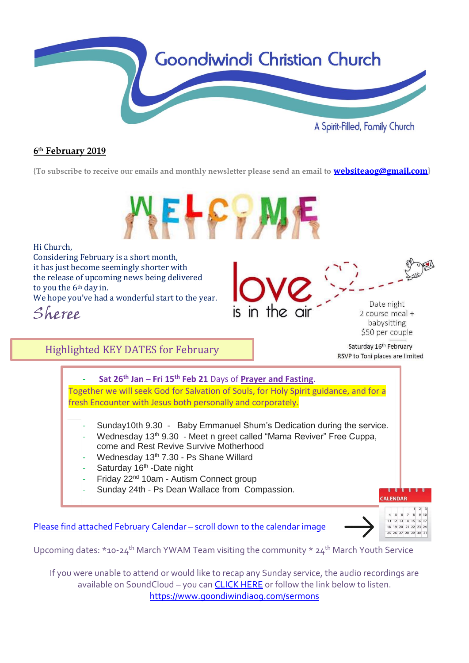

## **6 th February 2019**

**{To subscribe to receive our emails and monthly newsletter please send an email to [websiteaog@gmail.com](mailto:websiteaog@gmail.com)}**



If you were unable to attend or would like to recap any Sunday service, the audio recordings are available on SoundCloud - you can **CLICK HERE** or follow the link below to listen. <https://www.goondiwindiaog.com/sermons>